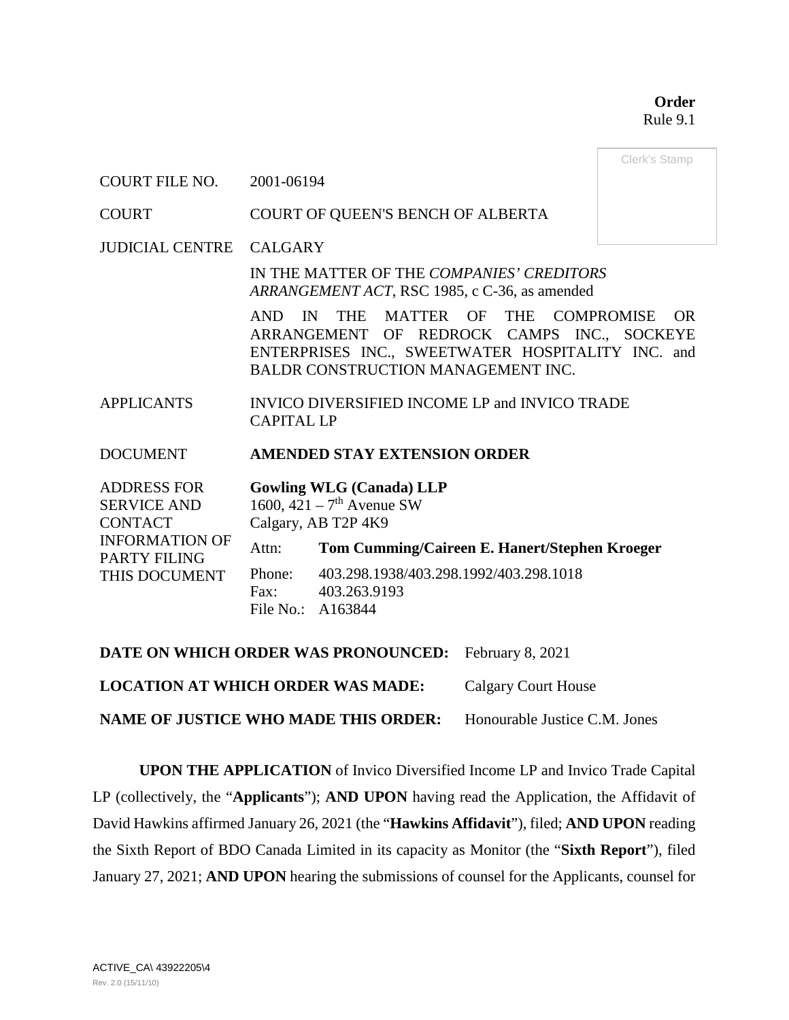**Order** Rule 9.1

Clerk's Stamp

COURT FILE NO. 2001-06194

COURT COURT OF QUEEN'S BENCH OF ALBERTA

JUDICIAL CENTRE CALGARY

IN THE MATTER OF THE *COMPANIES' CREDITORS ARRANGEMENT ACT*, RSC 1985, c C-36, as amended

AND IN THE MATTER OF THE COMPROMISE OR ARRANGEMENT OF REDROCK CAMPS INC., SOCKEYE ENTERPRISES INC., SWEETWATER HOSPITALITY INC. and BALDR CONSTRUCTION MANAGEMENT INC.

APPLICANTS INVICO DIVERSIFIED INCOME LP and INVICO TRADE CAPITAL LP

DOCUMENT **AMENDED STAY EXTENSION ORDER**

ADDRESS FOR SERVICE AND CONTACT INFORMATION OF PARTY FILING THIS DOCUMENT **Gowling WLG (Canada) LLP** 1600,  $421 - 7$ <sup>th</sup> Avenue SW Calgary, AB T2P 4K9 Attn: **Tom Cumming/Caireen E. Hanert/Stephen Kroeger** Phone: 403.298.1938/403.298.1992/403.298.1018 Fax: 403.263.9193 File No.: A163844

**DATE ON WHICH ORDER WAS PRONOUNCED:** February 8, 2021 **LOCATION AT WHICH ORDER WAS MADE:** Calgary Court House **NAME OF JUSTICE WHO MADE THIS ORDER:** Honourable Justice C.M. Jones

**UPON THE APPLICATION** of Invico Diversified Income LP and Invico Trade Capital LP (collectively, the "**Applicants**"); **AND UPON** having read the Application, the Affidavit of David Hawkins affirmed January 26, 2021 (the "**Hawkins Affidavit**"), filed; **AND UPON** reading the Sixth Report of BDO Canada Limited in its capacity as Monitor (the "**Sixth Report**"), filed January 27, 2021; **AND UPON** hearing the submissions of counsel for the Applicants, counsel for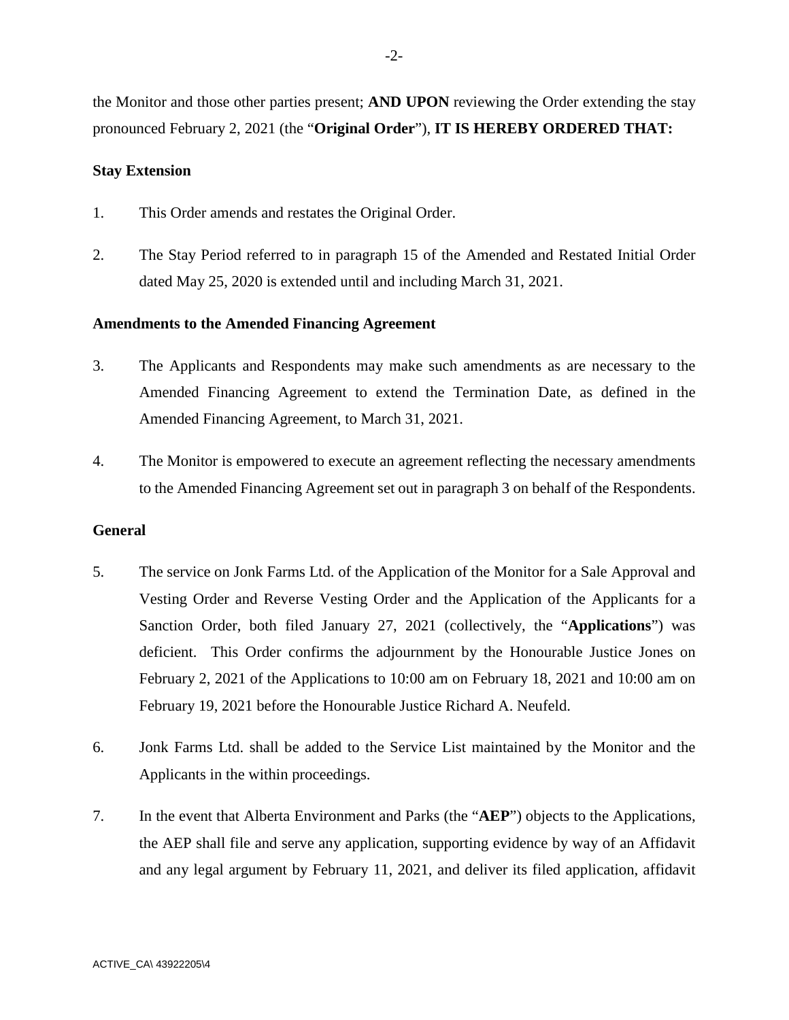the Monitor and those other parties present; **AND UPON** reviewing the Order extending the stay pronounced February 2, 2021 (the "**Original Order**"), **IT IS HEREBY ORDERED THAT:**

## **Stay Extension**

- 1. This Order amends and restates the Original Order.
- 2. The Stay Period referred to in paragraph 15 of the Amended and Restated Initial Order dated May 25, 2020 is extended until and including March 31, 2021.

## **Amendments to the Amended Financing Agreement**

- 3. The Applicants and Respondents may make such amendments as are necessary to the Amended Financing Agreement to extend the Termination Date, as defined in the Amended Financing Agreement, to March 31, 2021.
- 4. The Monitor is empowered to execute an agreement reflecting the necessary amendments to the Amended Financing Agreement set out in paragraph 3 on behalf of the Respondents.

## **General**

- 5. The service on Jonk Farms Ltd. of the Application of the Monitor for a Sale Approval and Vesting Order and Reverse Vesting Order and the Application of the Applicants for a Sanction Order, both filed January 27, 2021 (collectively, the "**Applications**") was deficient. This Order confirms the adjournment by the Honourable Justice Jones on February 2, 2021 of the Applications to 10:00 am on February 18, 2021 and 10:00 am on February 19, 2021 before the Honourable Justice Richard A. Neufeld.
- 6. Jonk Farms Ltd. shall be added to the Service List maintained by the Monitor and the Applicants in the within proceedings.
- 7. In the event that Alberta Environment and Parks (the "**AEP**") objects to the Applications, the AEP shall file and serve any application, supporting evidence by way of an Affidavit and any legal argument by February 11, 2021, and deliver its filed application, affidavit